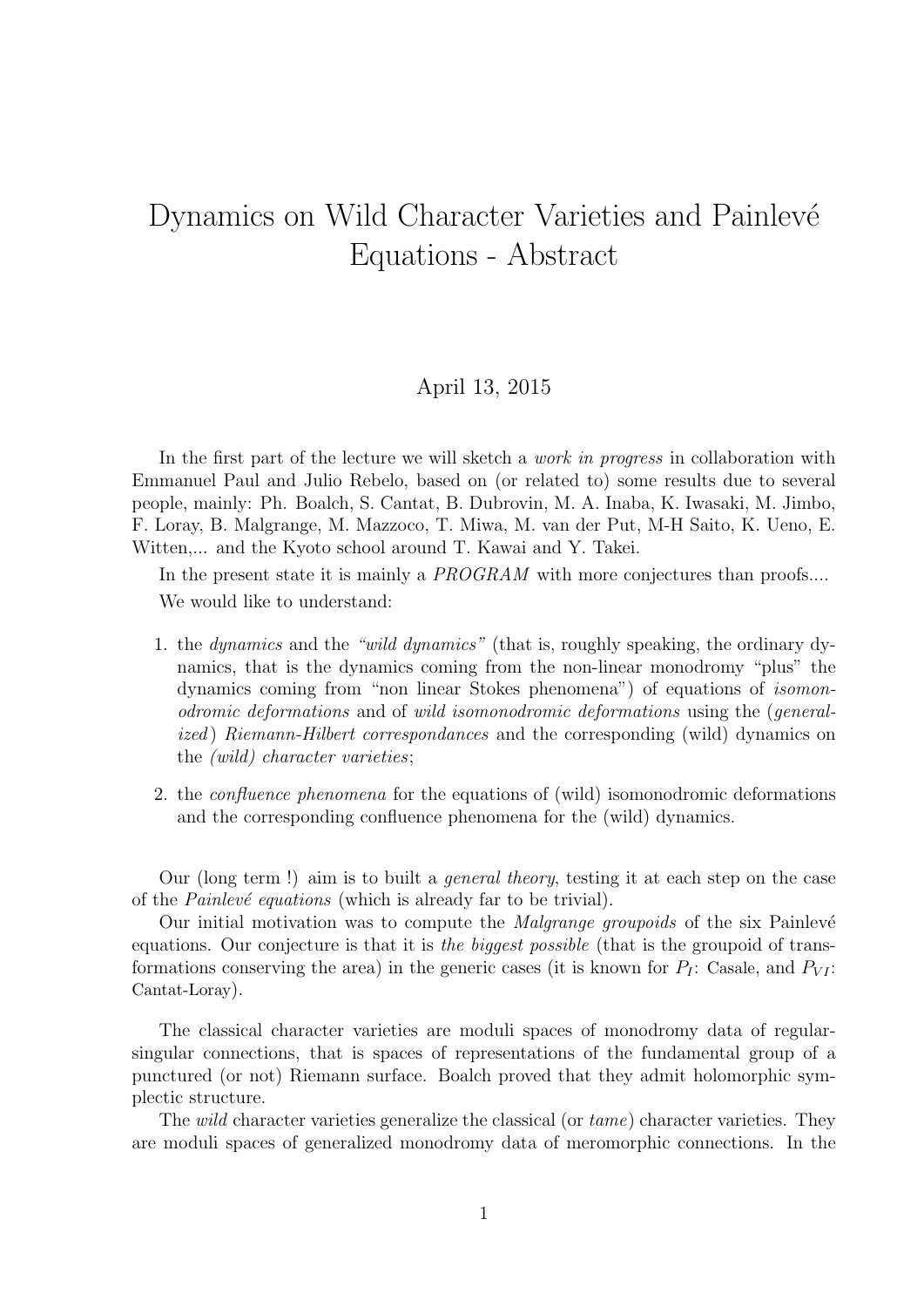## Dynamics on Wild Character Varieties and Painlevé Equations - Abstract

## April 13, 2015

In the first part of the lecture we will sketch a *work in progress* in collaboration with Emmanuel Paul and Julio Rebelo, based on (or related to) some results due to several people, mainly: Ph. Boalch, S. Cantat, B. Dubrovin, M. A. Inaba, K. Iwasaki, M. Jimbo, F. Loray, B. Malgrange, M. Mazzoco, T. Miwa, M. van der Put, M-H Saito, K. Ueno, E. Witten,... and the Kyoto school around T. Kawai and Y. Takei.

In the present state it is mainly a *PROGRAM* with more conjectures than proofs.... We would like to understand:

- 1. the dynamics and the "wild dynamics" (that is, roughly speaking, the ordinary dynamics, that is the dynamics coming from the non-linear monodromy "plus" the dynamics coming from "non linear Stokes phenomena") of equations of isomonodromic deformations and of wild isomonodromic deformations using the (generalized) Riemann-Hilbert correspondances and the corresponding (wild) dynamics on the (wild) character varieties;
- 2. the confluence phenomena for the equations of (wild) isomonodromic deformations and the corresponding confluence phenomena for the (wild) dynamics.

Our (long term !) aim is to built a general theory, testing it at each step on the case of the *Painlevé equations* (which is already far to be trivial).

Our initial motivation was to compute the *Malgrange groupoids* of the six Painlevé equations. Our conjecture is that it is the biggest possible (that is the groupoid of transformations conserving the area) in the generic cases (it is known for  $P_I$ : Casale, and  $P_{VI}$ : Cantat-Loray).

The classical character varieties are moduli spaces of monodromy data of regularsingular connections, that is spaces of representations of the fundamental group of a punctured (or not) Riemann surface. Boalch proved that they admit holomorphic symplectic structure.

The *wild* character varieties generalize the classical (or  $tame$ ) character varieties. They are moduli spaces of generalized monodromy data of meromorphic connections. In the